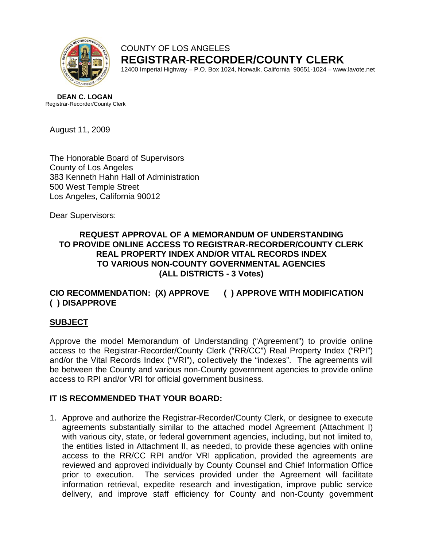

COUNTY OF LOS ANGELES **REGISTRAR-RECORDER/COUNTY CLERK** 12400 Imperial Highway – P.O. Box 1024, Norwalk, California 90651-1024 – www.lavote.net

**DEAN C. LOGAN** Registrar-Recorder/County Clerk

August 11, 2009

The Honorable Board of Supervisors County of Los Angeles 383 Kenneth Hahn Hall of Administration 500 West Temple Street Los Angeles, California 90012

Dear Supervisors:

## **REQUEST APPROVAL OF A MEMORANDUM OF UNDERSTANDING TO PROVIDE ONLINE ACCESS TO REGISTRAR-RECORDER/COUNTY CLERK REAL PROPERTY INDEX AND/OR VITAL RECORDS INDEX TO VARIOUS NON-COUNTY GOVERNMENTAL AGENCIES (ALL DISTRICTS - 3 Votes)**

## **CIO RECOMMENDATION: (X) APPROVE ( ) APPROVE WITH MODIFICATION ( ) DISAPPROVE**

## **SUBJECT**

Approve the model Memorandum of Understanding ("Agreement") to provide online access to the Registrar-Recorder/County Clerk ("RR/CC") Real Property Index ("RPI") and/or the Vital Records Index ("VRI"), collectively the "indexes". The agreements will be between the County and various non-County government agencies to provide online access to RPI and/or VRI for official government business.

## **IT IS RECOMMENDED THAT YOUR BOARD:**

1. Approve and authorize the Registrar-Recorder/County Clerk, or designee to execute agreements substantially similar to the attached model Agreement (Attachment I) with various city, state, or federal government agencies, including, but not limited to, the entities listed in Attachment II, as needed, to provide these agencies with online access to the RR/CC RPI and/or VRI application, provided the agreements are reviewed and approved individually by County Counsel and Chief Information Office prior to execution. The services provided under the Agreement will facilitate information retrieval, expedite research and investigation, improve public service delivery, and improve staff efficiency for County and non-County government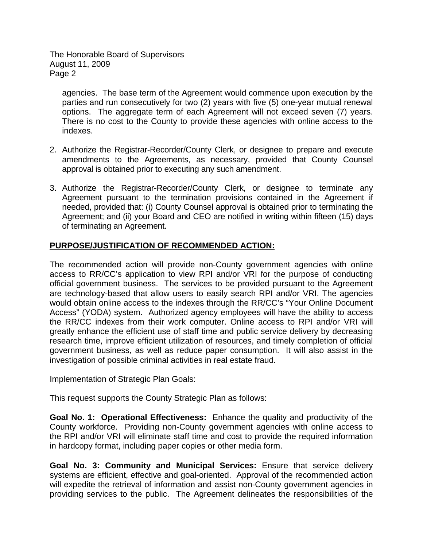The Honorable Board of Supervisors August 11, 2009 Page 2

agencies. The base term of the Agreement would commence upon execution by the parties and run consecutively for two (2) years with five (5) one-year mutual renewal options. The aggregate term of each Agreement will not exceed seven (7) years. There is no cost to the County to provide these agencies with online access to the indexes.

- 2. Authorize the Registrar-Recorder/County Clerk, or designee to prepare and execute amendments to the Agreements, as necessary, provided that County Counsel approval is obtained prior to executing any such amendment.
- 3. Authorize the Registrar-Recorder/County Clerk, or designee to terminate any Agreement pursuant to the termination provisions contained in the Agreement if needed, provided that: (i) County Counsel approval is obtained prior to terminating the Agreement; and (ii) your Board and CEO are notified in writing within fifteen (15) days of terminating an Agreement.

## **PURPOSE/JUSTIFICATION OF RECOMMENDED ACTION:**

The recommended action will provide non-County government agencies with online access to RR/CC's application to view RPI and/or VRI for the purpose of conducting official government business. The services to be provided pursuant to the Agreement are technology-based that allow users to easily search RPI and/or VRI. The agencies would obtain online access to the indexes through the RR/CC's "Your Online Document Access" (YODA) system. Authorized agency employees will have the ability to access the RR/CC indexes from their work computer. Online access to RPI and/or VRI will greatly enhance the efficient use of staff time and public service delivery by decreasing research time, improve efficient utilization of resources, and timely completion of official government business, as well as reduce paper consumption. It will also assist in the investigation of possible criminal activities in real estate fraud.

## Implementation of Strategic Plan Goals:

This request supports the County Strategic Plan as follows:

**Goal No. 1: Operational Effectiveness:** Enhance the quality and productivity of the County workforce. Providing non-County government agencies with online access to the RPI and/or VRI will eliminate staff time and cost to provide the required information in hardcopy format, including paper copies or other media form.

**Goal No. 3: Community and Municipal Services:** Ensure that service delivery systems are efficient, effective and goal-oriented. Approval of the recommended action will expedite the retrieval of information and assist non-County government agencies in providing services to the public. The Agreement delineates the responsibilities of the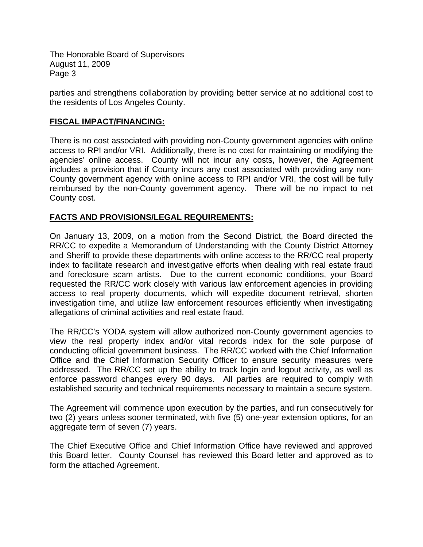The Honorable Board of Supervisors August 11, 2009 Page 3

parties and strengthens collaboration by providing better service at no additional cost to the residents of Los Angeles County.

#### **FISCAL IMPACT/FINANCING:**

There is no cost associated with providing non-County government agencies with online access to RPI and/or VRI. Additionally, there is no cost for maintaining or modifying the agencies' online access. County will not incur any costs, however, the Agreement includes a provision that if County incurs any cost associated with providing any non-County government agency with online access to RPI and/or VRI, the cost will be fully reimbursed by the non-County government agency. There will be no impact to net County cost.

#### **FACTS AND PROVISIONS/LEGAL REQUIREMENTS:**

On January 13, 2009, on a motion from the Second District, the Board directed the RR/CC to expedite a Memorandum of Understanding with the County District Attorney and Sheriff to provide these departments with online access to the RR/CC real property index to facilitate research and investigative efforts when dealing with real estate fraud and foreclosure scam artists. Due to the current economic conditions, your Board requested the RR/CC work closely with various law enforcement agencies in providing access to real property documents, which will expedite document retrieval, shorten investigation time, and utilize law enforcement resources efficiently when investigating allegations of criminal activities and real estate fraud.

The RR/CC's YODA system will allow authorized non-County government agencies to view the real property index and/or vital records index for the sole purpose of conducting official government business. The RR/CC worked with the Chief Information Office and the Chief Information Security Officer to ensure security measures were addressed. The RR/CC set up the ability to track login and logout activity, as well as enforce password changes every 90 days. All parties are required to comply with established security and technical requirements necessary to maintain a secure system.

The Agreement will commence upon execution by the parties, and run consecutively for two (2) years unless sooner terminated, with five (5) one-year extension options, for an aggregate term of seven (7) years.

The Chief Executive Office and Chief Information Office have reviewed and approved this Board letter. County Counsel has reviewed this Board letter and approved as to form the attached Agreement.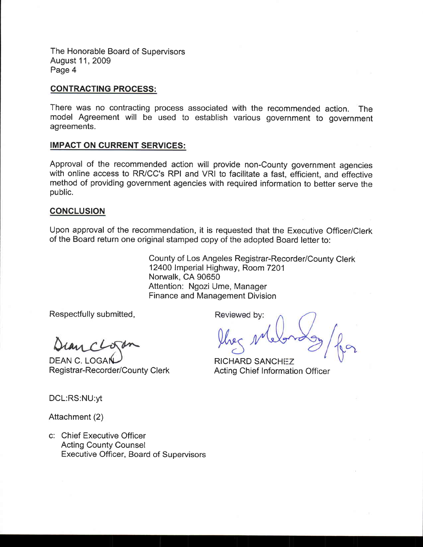The Honorable Board of Supervisors August 11, 2009 Page 4

#### **CONTRACTING PROCESS:**

There was no contracting process associated with the recommended action. **The** model Agreement will be used to establish various government to government agreements.

#### **IMPACT ON CURRENT SERVICES:**

Approval of the recommended action will provide non-County government agencies with online access to RR/CC's RPI and VRI to facilitate a fast, efficient, and effective method of providing government agencies with required information to better serve the public.

#### **CONCLUSION**

Upon approval of the recommendation, it is requested that the Executive Officer/Clerk of the Board return one original stamped copy of the adopted Board letter to:

> County of Los Angeles Registrar-Recorder/County Clerk 12400 Imperial Highway, Room 7201 Norwalk, CA 90650 Attention: Ngozi Ume, Manager Finance and Management Division

Respectfully submitted,

**DEAN C. LOGA** Registrar-Recorder/County Clerk

Reviewed by:

**RICHARD SANCHEZ Acting Chief Information Officer** 

DCL:RS:NU:yt

Attachment (2)

c: Chief Executive Officer **Acting County Counsel Executive Officer, Board of Supervisors**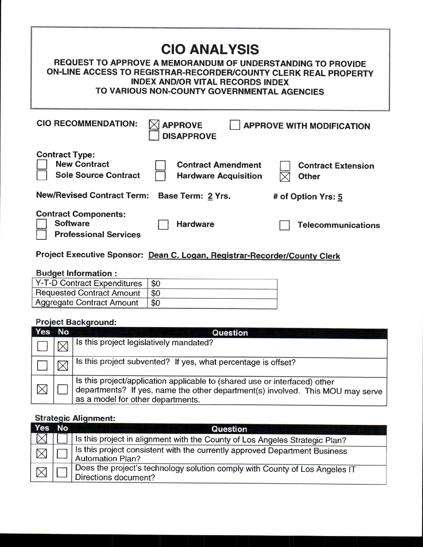| <b>CIO ANALYSIS</b><br>REQUEST TO APPROVE A MEMORANDUM OF UNDERSTANDING TO PROVIDE<br>ON-LINE ACCESS TO REGISTRAR-RECORDER/COUNTY CLERK REAL PROPERTY<br><b>INDEX AND/OR VITAL RECORDS INDEX</b><br>TO VARIOUS NON-COUNTY GOVERNMENTAL AGENCIES |                                           |  |  |  |
|-------------------------------------------------------------------------------------------------------------------------------------------------------------------------------------------------------------------------------------------------|-------------------------------------------|--|--|--|
| <b>CIO RECOMMENDATION:</b><br><b>APPROVE</b><br><b>APPROVE WITH MODIFICATION</b><br><b>DISAPPROVE</b>                                                                                                                                           |                                           |  |  |  |
| <b>Contract Type:</b><br><b>New Contract</b><br><b>Contract Amendment</b><br><b>Sole Source Contract</b><br><b>Hardware Acquisition</b>                                                                                                         | <b>Contract Extension</b><br><b>Other</b> |  |  |  |
| <b>New/Revised Contract Term:</b><br>Base Term: 2 Yrs.                                                                                                                                                                                          | # of Option Yrs: 5                        |  |  |  |
| <b>Contract Components:</b><br><b>Software</b><br><b>Hardware</b><br><b>Professional Services</b>                                                                                                                                               | <b>Telecommunications</b>                 |  |  |  |
|                                                                                                                                                                                                                                                 |                                           |  |  |  |

# Project Executive Sponsor: Dean C. Logan, Registrar-Recorder/County Clerk

# **Budget Information:**

| Y-T-D Contract Expenditures   \$0 |     |
|-----------------------------------|-----|
| <b>Requested Contract Amount</b>  |     |
| <b>Aggregate Contract Amount</b>  | \$0 |

# **Project Background:**

| Yes | No | Question                                                                                                                                                                                          |
|-----|----|---------------------------------------------------------------------------------------------------------------------------------------------------------------------------------------------------|
|     |    | Is this project legislatively mandated?                                                                                                                                                           |
|     |    | Is this project subvented? If yes, what percentage is offset?                                                                                                                                     |
|     |    | Is this project/application applicable to (shared use or interfaced) other<br>departments? If yes, name the other department(s) involved. This MOU may serve<br>as a model for other departments. |

## **Strategic Alignment:**

| Yes                     | No | Question                                                                                            |  |  |  |
|-------------------------|----|-----------------------------------------------------------------------------------------------------|--|--|--|
|                         |    | Is this project in alignment with the County of Los Angeles Strategic Plan?                         |  |  |  |
| $\overline{\mathbb{X}}$ |    | Is this project consistent with the currently approved Department Business<br>Automation Plan?      |  |  |  |
|                         |    | Does the project's technology solution comply with County of Los Angeles IT<br>Directions document? |  |  |  |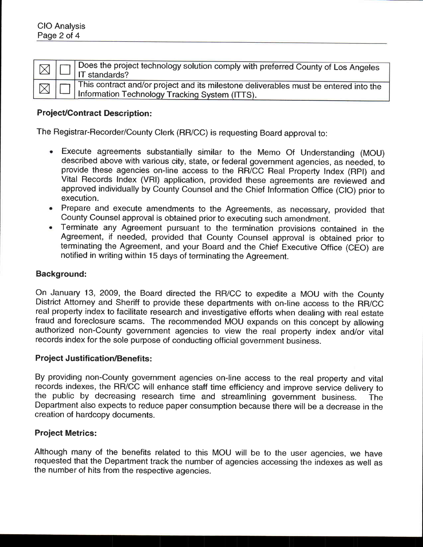|  | $\Box$ $\Box$ Does the project technology solution comply with preferred County of Los Angeles                                      |
|--|-------------------------------------------------------------------------------------------------------------------------------------|
|  | This contract and/or project and its milestone deliverables must be entered into the Information Technology Tracking System (ITTS). |

## **Project/Contract Description:**

The Registrar-Recorder/County Clerk (RR/CC) is requesting Board approval to:

- Execute agreements substantially similar to the Memo Of Understanding (MOU) described above with various city, state, or federal government agencies, as needed, to provide these agencies on-line access to the RR/CC Real Property Index (RPI) and Vital Records Index (VRI) application, provided these agreements are reviewed and approved individually by County Counsel and the Chief Information Office (CIO) prior to execution.
- Prepare and execute amendments to the Agreements, as necessary, provided that County Counsel approval is obtained prior to executing such amendment.
- Terminate any Agreement pursuant to the termination provisions contained in the Agreement, if needed, provided that County Counsel approval is obtained prior to terminating the Agreement, and your Board and the Chief Executive Office (CEO) are notified in writing within 15 days of terminating the Agreement.

#### **Background:**

On January 13, 2009, the Board directed the RR/CC to expedite a MOU with the County District Attorney and Sheriff to provide these departments with on-line access to the RR/CC real property index to facilitate research and investigative efforts when dealing with real estate fraud and foreclosure scams. The recommended MOU expands on this concept by allowing authorized non-County government agencies to view the real property index and/or vital records index for the sole purpose of conducting official government business.

#### **Project Justification/Benefits:**

By providing non-County government agencies on-line access to the real property and vital records indexes, the RR/CC will enhance staff time efficiency and improve service delivery to the public by decreasing research time and streamlining government business. **The** Department also expects to reduce paper consumption because there will be a decrease in the creation of hardcopy documents.

#### **Project Metrics:**

Although many of the benefits related to this MOU will be to the user agencies, we have requested that the Department track the number of agencies accessing the indexes as well as the number of hits from the respective agencies.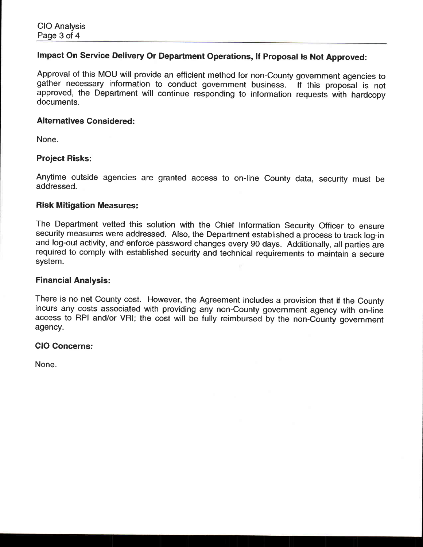## Impact On Service Delivery Or Department Operations, If Proposal Is Not Approved:

Approval of this MOU will provide an efficient method for non-County government agencies to gather necessary information to conduct government business. If this proposal is not approved, the Department will continue responding to information requests with hardcopy documents.

#### **Alternatives Considered:**

None.

## **Project Risks:**

Anytime outside agencies are granted access to on-line County data, security must be addressed.

#### **Risk Mitigation Measures:**

The Department vetted this solution with the Chief Information Security Officer to ensure security measures were addressed. Also, the Department established a process to track log-in and log-out activity, and enforce password changes every 90 days. Additionally, all parties are required to comply with established security and technical requirements to maintain a secure system.

#### **Financial Analysis:**

There is no net County cost. However, the Agreement includes a provision that if the County incurs any costs associated with providing any non-County government agency with on-line access to RPI and/or VRI; the cost will be fully reimbursed by the non-County government agency.

#### **CIO Concerns:**

None.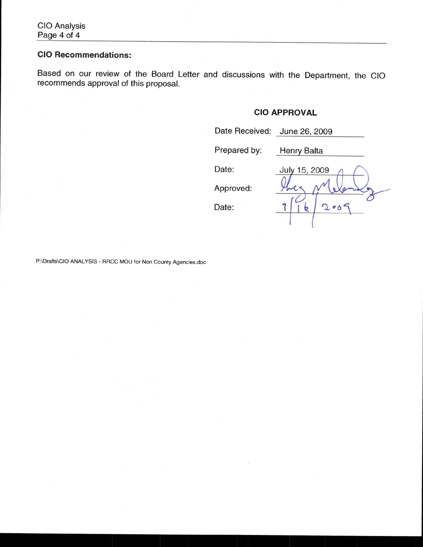## **CIO Recommendations:**

Based on our review of the Board Letter and discussions with the Department, the CIO recommends approval of this proposal.

## **CIO APPROVAL**

| Date Received: | June 26, 2009 |
|----------------|---------------|
| Prepared by:   | Henry Balta   |
| Date:          | July 15, 2009 |
| Approved:      |               |
| Date:          | 200           |
|                |               |

P:\Drafts\CIO ANALYSIS - RRCC MOU for Non County Agencies.doc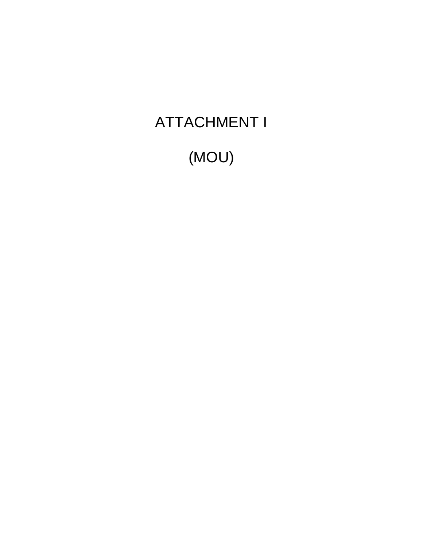# ATTACHMENT I

(MOU)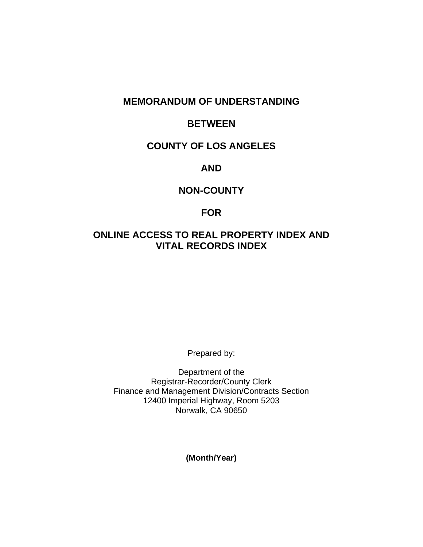## **MEMORANDUM OF UNDERSTANDING**

## **BETWEEN**

## **COUNTY OF LOS ANGELES**

## **AND**

## **NON-COUNTY**

## **FOR**

## **ONLINE ACCESS TO REAL PROPERTY INDEX AND VITAL RECORDS INDEX**

Prepared by:

Department of the Registrar-Recorder/County Clerk Finance and Management Division/Contracts Section 12400 Imperial Highway, Room 5203 Norwalk, CA 90650

**(Month/Year)**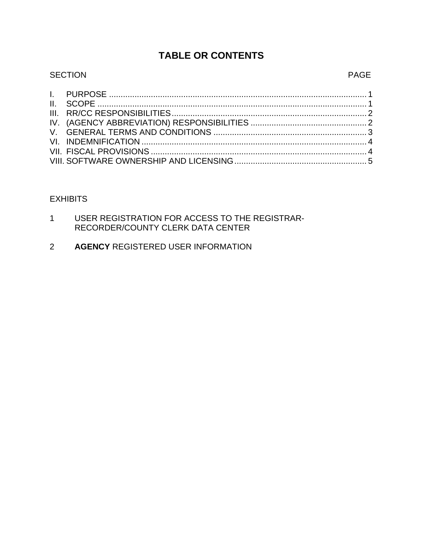## **TABLE OR CONTENTS**

# SECTION PAGE

|  |  | - | , |
|--|--|---|---|
|  |  |   |   |
|  |  |   |   |
|  |  |   |   |
|  |  |   |   |
|  |  |   |   |

## **EXHIBITS**

- 1 USER REGISTRATION FOR ACCESS TO THE REGISTRAR-RECORDER/COUNTY CLERK DATA CENTER
- 2 **AGENCY** REGISTERED USER INFORMATION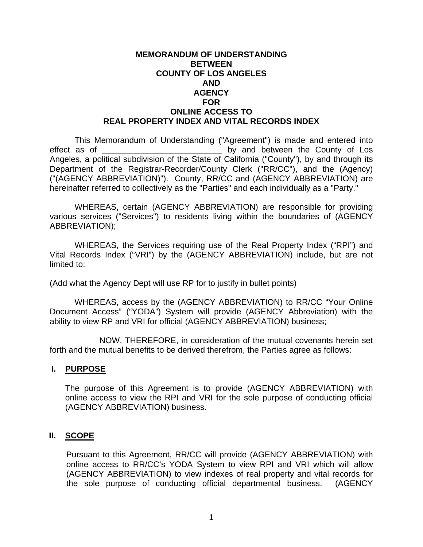#### <span id="page-11-0"></span>**MEMORANDUM OF UNDERSTANDING BETWEEN COUNTY OF LOS ANGELES AND AGENCY FOR ONLINE ACCESS TO REAL PROPERTY INDEX AND VITAL RECORDS INDEX**

 This Memorandum of Understanding ("Agreement") is made and entered into effect as of the county of Los Angeles, a political subdivision of the State of California ("County"), by and through its Department of the Registrar-Recorder/County Clerk ("RR/CC"), and the (Agency) ("(AGENCY ABBREVIATION)"). County, RR/CC and (AGENCY ABBREVIATION) are hereinafter referred to collectively as the "Parties" and each individually as a "Party."

 WHEREAS, certain (AGENCY ABBREVIATION) are responsible for providing various services ("Services") to residents living within the boundaries of (AGENCY ABBREVIATION);

 WHEREAS, the Services requiring use of the Real Property Index ("RPI") and Vital Records Index ("VRI") by the (AGENCY ABBREVIATION) include, but are not limited to:

(Add what the Agency Dept will use RP for to justify in bullet points)

 WHEREAS, access by the (AGENCY ABBREVIATION) to RR/CC "Your Online Document Access" ("YODA") System will provide (AGENCY Abbreviation) with the ability to view RP and VRI for official (AGENCY ABBREVIATION) business;

 NOW, THEREFORE, in consideration of the mutual covenants herein set forth and the mutual benefits to be derived therefrom, the Parties agree as follows:

## **I. PURPOSE**

The purpose of this Agreement is to provide (AGENCY ABBREVIATION) with online access to view the RPI and VRI for the sole purpose of conducting official (AGENCY ABBREVIATION) business.

## **II. SCOPE**

Pursuant to this Agreement, RR/CC will provide (AGENCY ABBREVIATION) with online access to RR/CC's YODA System to view RPI and VRI which will allow (AGENCY ABBREVIATION) to view indexes of real property and vital records for the sole purpose of conducting official departmental business. (AGENCY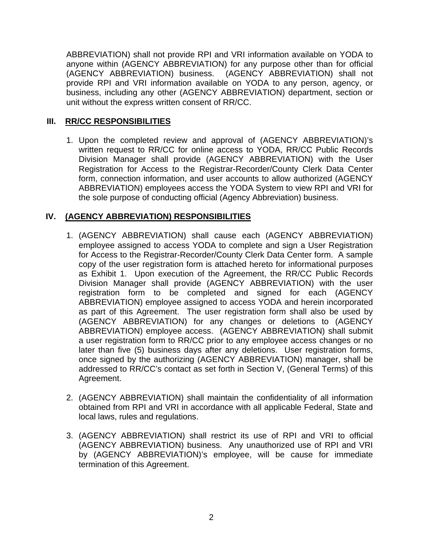<span id="page-12-0"></span>ABBREVIATION) shall not provide RPI and VRI information available on YODA to anyone within (AGENCY ABBREVIATION) for any purpose other than for official (AGENCY ABBREVIATION) business. (AGENCY ABBREVIATION) shall not provide RPI and VRI information available on YODA to any person, agency, or business, including any other (AGENCY ABBREVIATION) department, section or unit without the express written consent of RR/CC.

## **III. RR/CC RESPONSIBILITIES**

1. Upon the completed review and approval of (AGENCY ABBREVIATION)'s written request to RR/CC for online access to YODA, RR/CC Public Records Division Manager shall provide (AGENCY ABBREVIATION) with the User Registration for Access to the Registrar-Recorder/County Clerk Data Center form, connection information, and user accounts to allow authorized (AGENCY ABBREVIATION) employees access the YODA System to view RPI and VRI for the sole purpose of conducting official (Agency Abbreviation) business.

## **IV. (AGENCY ABBREVIATION) RESPONSIBILITIES**

- 1. (AGENCY ABBREVIATION) shall cause each (AGENCY ABBREVIATION) employee assigned to access YODA to complete and sign a User Registration for Access to the Registrar-Recorder/County Clerk Data Center form. A sample copy of the user registration form is attached hereto for informational purposes as Exhibit 1. Upon execution of the Agreement, the RR/CC Public Records Division Manager shall provide (AGENCY ABBREVIATION) with the user registration form to be completed and signed for each (AGENCY ABBREVIATION) employee assigned to access YODA and herein incorporated as part of this Agreement. The user registration form shall also be used by (AGENCY ABBREVIATION) for any changes or deletions to (AGENCY ABBREVIATION) employee access. (AGENCY ABBREVIATION) shall submit a user registration form to RR/CC prior to any employee access changes or no later than five (5) business days after any deletions. User registration forms, once signed by the authorizing (AGENCY ABBREVIATION) manager, shall be addressed to RR/CC's contact as set forth in Section V, (General Terms) of this Agreement.
- 2. (AGENCY ABBREVIATION) shall maintain the confidentiality of all information obtained from RPI and VRI in accordance with all applicable Federal, State and local laws, rules and regulations.
- 3. (AGENCY ABBREVIATION) shall restrict its use of RPI and VRI to official (AGENCY ABBREVIATION) business. Any unauthorized use of RPI and VRI by (AGENCY ABBREVIATION)'s employee, will be cause for immediate termination of this Agreement.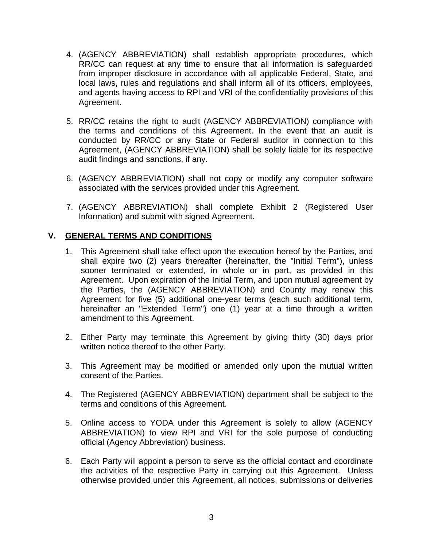- <span id="page-13-0"></span>4. (AGENCY ABBREVIATION) shall establish appropriate procedures, which RR/CC can request at any time to ensure that all information is safeguarded from improper disclosure in accordance with all applicable Federal, State, and local laws, rules and regulations and shall inform all of its officers, employees, and agents having access to RPI and VRI of the confidentiality provisions of this Agreement.
- 5. RR/CC retains the right to audit (AGENCY ABBREVIATION) compliance with the terms and conditions of this Agreement. In the event that an audit is conducted by RR/CC or any State or Federal auditor in connection to this Agreement, (AGENCY ABBREVIATION) shall be solely liable for its respective audit findings and sanctions, if any.
- 6. (AGENCY ABBREVIATION) shall not copy or modify any computer software associated with the services provided under this Agreement.
- 7. (AGENCY ABBREVIATION) shall complete Exhibit 2 (Registered User Information) and submit with signed Agreement.

## **V. GENERAL TERMS AND CONDITIONS**

- 1. This Agreement shall take effect upon the execution hereof by the Parties, and shall expire two (2) years thereafter (hereinafter, the "Initial Term"), unless sooner terminated or extended, in whole or in part, as provided in this Agreement. Upon expiration of the Initial Term, and upon mutual agreement by the Parties, the (AGENCY ABBREVIATION) and County may renew this Agreement for five (5) additional one-year terms (each such additional term, hereinafter an "Extended Term") one (1) year at a time through a written amendment to this Agreement.
- 2. Either Party may terminate this Agreement by giving thirty (30) days prior written notice thereof to the other Party.
- 3. This Agreement may be modified or amended only upon the mutual written consent of the Parties.
- 4. The Registered (AGENCY ABBREVIATION) department shall be subject to the terms and conditions of this Agreement.
- 5. Online access to YODA under this Agreement is solely to allow (AGENCY ABBREVIATION) to view RPI and VRI for the sole purpose of conducting official (Agency Abbreviation) business.
- 6. Each Party will appoint a person to serve as the official contact and coordinate the activities of the respective Party in carrying out this Agreement. Unless otherwise provided under this Agreement, all notices, submissions or deliveries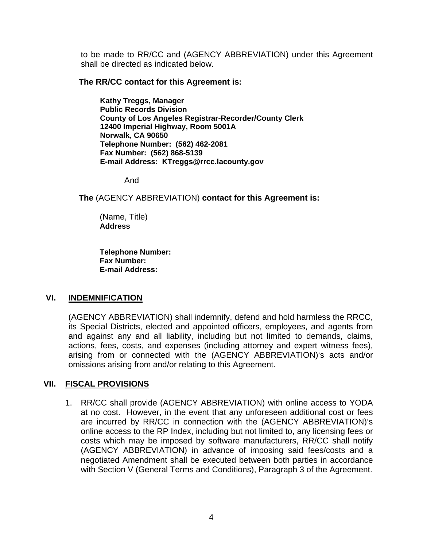<span id="page-14-0"></span>to be made to RR/CC and (AGENCY ABBREVIATION) under this Agreement shall be directed as indicated below.

**The RR/CC contact for this Agreement is:** 

**Kathy Treggs, Manager Public Records Division County of Los Angeles Registrar-Recorder/County Clerk 12400 Imperial Highway, Room 5001A Norwalk, CA 90650 Telephone Number: (562) 462-2081 Fax Number: (562) 868-5139 E-mail Address: KTreggs@rrcc.lacounty.gov** 

And

**The** (AGENCY ABBREVIATION) **contact for this Agreement is:**

(Name, Title) **Address** 

**Telephone Number: Fax Number: E-mail Address:** 

## **VI. INDEMNIFICATION**

(AGENCY ABBREVIATION) shall indemnify, defend and hold harmless the RRCC, its Special Districts, elected and appointed officers, employees, and agents from and against any and all liability, including but not limited to demands, claims, actions, fees, costs, and expenses (including attorney and expert witness fees), arising from or connected with the (AGENCY ABBREVIATION)'s acts and/or omissions arising from and/or relating to this Agreement.

## **VII. FISCAL PROVISIONS**

1. RR/CC shall provide (AGENCY ABBREVIATION) with online access to YODA at no cost. However, in the event that any unforeseen additional cost or fees are incurred by RR/CC in connection with the (AGENCY ABBREVIATION)'s online access to the RP Index, including but not limited to, any licensing fees or costs which may be imposed by software manufacturers, RR/CC shall notify (AGENCY ABBREVIATION) in advance of imposing said fees/costs and a negotiated Amendment shall be executed between both parties in accordance with Section V (General Terms and Conditions), Paragraph 3 of the Agreement.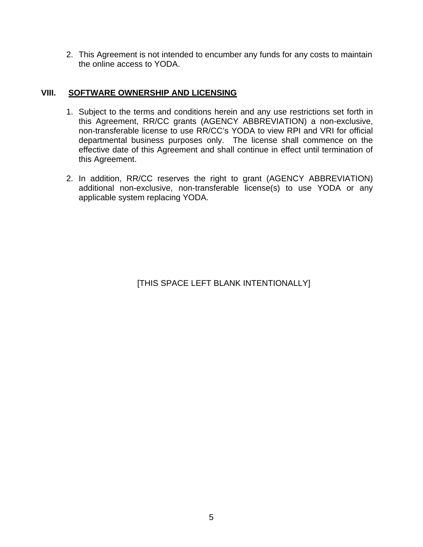<span id="page-15-0"></span>2. This Agreement is not intended to encumber any funds for any costs to maintain the online access to YODA.

## **VIII. SOFTWARE OWNERSHIP AND LICENSING**

- 1. Subject to the terms and conditions herein and any use restrictions set forth in this Agreement, RR/CC grants (AGENCY ABBREVIATION) a non-exclusive, non-transferable license to use RR/CC's YODA to view RPI and VRI for official departmental business purposes only. The license shall commence on the effective date of this Agreement and shall continue in effect until termination of this Agreement.
- 2. In addition, RR/CC reserves the right to grant (AGENCY ABBREVIATION) additional non-exclusive, non-transferable license(s) to use YODA or any applicable system replacing YODA.

[THIS SPACE LEFT BLANK INTENTIONALLY]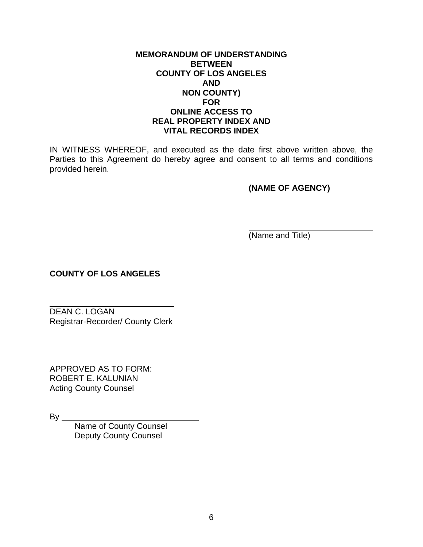## **MEMORANDUM OF UNDERSTANDING BETWEEN COUNTY OF LOS ANGELES AND NON COUNTY) FOR ONLINE ACCESS TO REAL PROPERTY INDEX AND VITAL RECORDS INDEX**

IN WITNESS WHEREOF, and executed as the date first above written above, the Parties to this Agreement do hereby agree and consent to all terms and conditions provided herein.

**(NAME OF AGENCY)** 

(Name and Title)

**COUNTY OF LOS ANGELES** 

DEAN C. LOGAN Registrar-Recorder/ County Clerk

APPROVED AS TO FORM: ROBERT E. KALUNIAN Acting County Counsel

 $By_$ 

 $\overline{a}$ 

Name of County Counsel Deputy County Counsel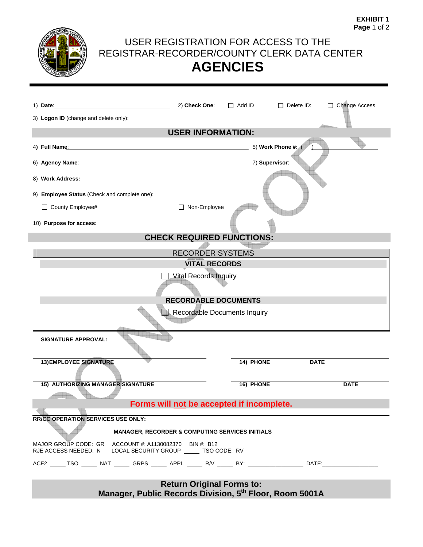

## USER REGISTRATION FOR ACCESS TO THE REGISTRAR-RECORDER/COUNTY CLERK DATA CENTER **AGENCIES**

| 1) Date: 2008. [2010] Date: 2008. [2010] Date: 2008. [2010] Date: 2008. [2010] Date: 2008. [2010] Date: 2008. [2010] Date: 2008. [2010] Date: 2008. [2010] Date: 2008. [2010] Date: 2008. [2010] Date: 2008. [2010] Date: 2008<br>3) Logon ID (change and delete only):<br>and the control of the control of the control of the control of the control of the control of the control of the control of the control of the control of the control of the control o | 2) Check One:                    | $\Box$ Add ID | $\Box$ Delete ID:  | □ Change Access |  |
|-------------------------------------------------------------------------------------------------------------------------------------------------------------------------------------------------------------------------------------------------------------------------------------------------------------------------------------------------------------------------------------------------------------------------------------------------------------------|----------------------------------|---------------|--------------------|-----------------|--|
|                                                                                                                                                                                                                                                                                                                                                                                                                                                                   | <b>USER INFORMATION:</b>         |               |                    |                 |  |
| 4) Full Name: All Contract Contract Contract Contract Contract Contract Contract Contract Contract Contract Contract Contract Contract Contract Contract Contract Contract Contract Contract Contract Contract Contract Contra                                                                                                                                                                                                                                    |                                  |               | 5) Work Phone #: ( |                 |  |
|                                                                                                                                                                                                                                                                                                                                                                                                                                                                   |                                  |               | 7) Supervisor:     |                 |  |
|                                                                                                                                                                                                                                                                                                                                                                                                                                                                   |                                  |               |                    |                 |  |
| 9) Employee Status (Check and complete one):                                                                                                                                                                                                                                                                                                                                                                                                                      |                                  |               |                    |                 |  |
|                                                                                                                                                                                                                                                                                                                                                                                                                                                                   |                                  |               |                    |                 |  |
| 10) Purpose for access: Management of Purpose for access:                                                                                                                                                                                                                                                                                                                                                                                                         |                                  |               |                    |                 |  |
|                                                                                                                                                                                                                                                                                                                                                                                                                                                                   | <b>CHECK REQUIRED FUNCTIONS:</b> |               |                    |                 |  |
|                                                                                                                                                                                                                                                                                                                                                                                                                                                                   | <b>RECORDER SYSTEMS</b>          |               |                    |                 |  |
|                                                                                                                                                                                                                                                                                                                                                                                                                                                                   | <b>VITAL RECORDS</b>             |               |                    |                 |  |
|                                                                                                                                                                                                                                                                                                                                                                                                                                                                   | <b>Vital Records Inquiry</b>     |               |                    |                 |  |
|                                                                                                                                                                                                                                                                                                                                                                                                                                                                   |                                  |               |                    |                 |  |
|                                                                                                                                                                                                                                                                                                                                                                                                                                                                   | <b>RECORDABLE DOCUMENTS</b>      |               |                    |                 |  |
|                                                                                                                                                                                                                                                                                                                                                                                                                                                                   |                                  |               |                    |                 |  |
|                                                                                                                                                                                                                                                                                                                                                                                                                                                                   | Recordable Documents Inquiry     |               |                    |                 |  |
| <b>SIGNATURE APPROVAL:</b>                                                                                                                                                                                                                                                                                                                                                                                                                                        |                                  |               |                    |                 |  |
| <b>13) EMPLOYEE SIGNATURE</b>                                                                                                                                                                                                                                                                                                                                                                                                                                     |                                  | 14) PHONE     | <b>DATE</b>        |                 |  |
| <b>15) AUTHORIZING MANAGER SIGNATURE</b>                                                                                                                                                                                                                                                                                                                                                                                                                          |                                  | 16) PHONE     |                    | <b>DATE</b>     |  |
| Forms will not be accepted if incomplete.                                                                                                                                                                                                                                                                                                                                                                                                                         |                                  |               |                    |                 |  |
|                                                                                                                                                                                                                                                                                                                                                                                                                                                                   |                                  |               |                    |                 |  |
| <b>RR/CC OPERATION SERVICES USE ONLY:</b><br>MANAGER, RECORDER & COMPUTING SERVICES INITIALS __________                                                                                                                                                                                                                                                                                                                                                           |                                  |               |                    |                 |  |
| MAJOR GROUP CODE: GR ACCOUNT #: A1130082370 BIN #: B12                                                                                                                                                                                                                                                                                                                                                                                                            |                                  |               |                    |                 |  |
| RJE ACCESS NEEDED: N LOCAL SECURITY GROUP _____ TSO CODE: RV                                                                                                                                                                                                                                                                                                                                                                                                      |                                  |               |                    |                 |  |
| ACF2 ______ TSO _______ NAT _______ GRPS ______ APPL ______ R/V _______ BY: ________________________ DATE:_____________                                                                                                                                                                                                                                                                                                                                           |                                  |               |                    |                 |  |
| <b>Return Original Forms to:</b><br>Manager, Public Records Division, 5 <sup>th</sup> Floor, Room 5001A                                                                                                                                                                                                                                                                                                                                                           |                                  |               |                    |                 |  |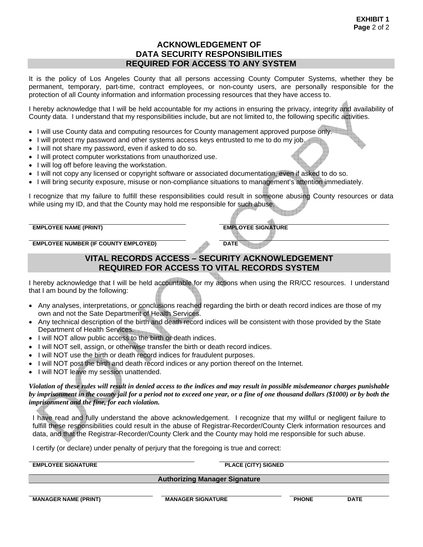#### **ACKNOWLEDGEMENT OF DATA SECURITY RESPONSIBILITIES REQUIRED FOR ACCESS TO ANY SYSTEM**

It is the policy of Los Angeles County that all persons accessing County Computer Systems, whether they be permanent, temporary, part-time, contract employees, or non-county users, are personally responsible for the protection of all County information and information processing resources that they have access to.

I hereby acknowledge that I will be held accountable for my actions in ensuring the privacy, integrity and availability of County data. I understand that my responsibilities include, but are not limited to, the following specific activities.

- I will use County data and computing resources for County management approved purpose only.
- I will protect my password and other systems access keys entrusted to me to do my job.
- I will not share my password, even if asked to do so.
- I will protect computer workstations from unauthorized use.
- I will log off before leaving the workstation.
- I will not copy any licensed or copyright software or associated documentation, even if asked to do so.
- I will bring security exposure, misuse or non-compliance situations to management's attention immediately.

I recognize that my failure to fulfill these responsibilities could result in someone abusing County resources or data while using my ID, and that the County may hold me responsible for such abuse.

**EMPLOYEE NAME (PRINT)** EMPLOYEE SIGNATURE

**EMPLOYEE NUMBER (IF COUNTY EMPLOYED) DATE** 

#### **VITAL RECORDS ACCESS – SECURITY ACKNOWLEDGEMENT REQUIRED FOR ACCESS TO VITAL RECORDS SYSTEM**

I hereby acknowledge that I will be held accountable for my actions when using the RR/CC resources. I understand that I am bound by the following:

- Any analyses, interpretations, or conclusions reached regarding the birth or death record indices are those of my own and not the Sate Department of Health Services.
- Any technical description of the birth and death record indices will be consistent with those provided by the State Department of Health Services.
- I will NOT allow public access to the birth or death indices.
- I will NOT sell, assign, or otherwise transfer the birth or death record indices.
- I will NOT use the birth or death record indices for fraudulent purposes.
- I will NOT post the birth and death record indices or any portion thereof on the Internet.
- I will NOT leave my session unattended.

*Violation of these rules will result in denied access to the indices and may result in possible misdemeanor charges punishable by imprisonment in the county jail for a period not to exceed one year, or a fine of one thousand dollars (\$1000) or by both the imprisonment and the fine, for each violation.* 

I have read and fully understand the above acknowledgement. I recognize that my willful or negligent failure to fulfill these responsibilities could result in the abuse of Registrar-Recorder/County Clerk information resources and data, and that the Registrar-Recorder/County Clerk and the County may hold me responsible for such abuse.

I certify (or declare) under penalty of perjury that the foregoing is true and correct:

**EMPLOYEE SIGNATURE PLACE (CITY) SIGNED** 

**Authorizing Manager Signature** 

**MANAGER NAME (PRINT) WE WANAGER SIGNATURE PHONE DATE**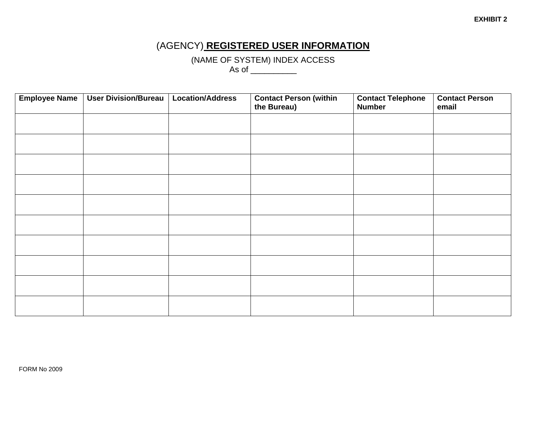## (AGENCY) **REGISTERED USER INFORMATION**

(NAME OF SYSTEM) INDEX ACCESS

As of  $\_\_\_\_\_\_\_\_\_\_\_$ 

| <b>Employee Name</b> | <b>User Division/Bureau</b> | <b>Location/Address</b> | <b>Contact Person (within</b><br>the Bureau) | <b>Contact Telephone</b><br><b>Number</b> | <b>Contact Person</b><br>email |
|----------------------|-----------------------------|-------------------------|----------------------------------------------|-------------------------------------------|--------------------------------|
|                      |                             |                         |                                              |                                           |                                |
|                      |                             |                         |                                              |                                           |                                |
|                      |                             |                         |                                              |                                           |                                |
|                      |                             |                         |                                              |                                           |                                |
|                      |                             |                         |                                              |                                           |                                |
|                      |                             |                         |                                              |                                           |                                |
|                      |                             |                         |                                              |                                           |                                |
|                      |                             |                         |                                              |                                           |                                |
|                      |                             |                         |                                              |                                           |                                |
|                      |                             |                         |                                              |                                           |                                |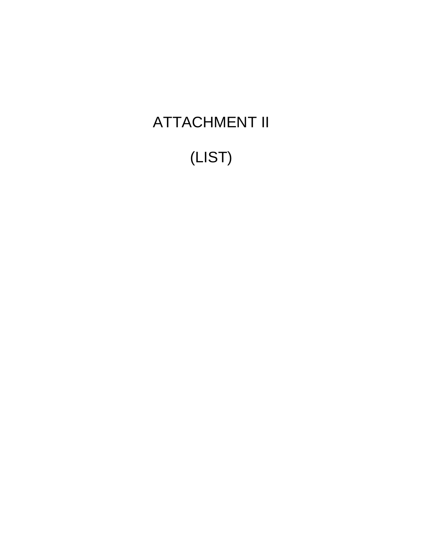# ATTACHMENT II

# (LIST)